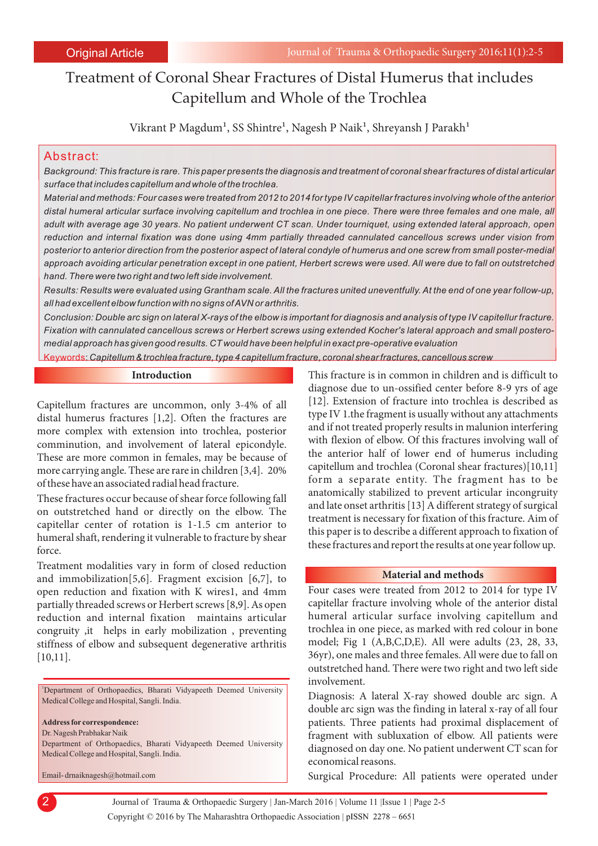# Treatment of Coronal Shear Fractures of Distal Humerus that includes Capitellum and Whole of the Trochlea

Vikrant P Magdum<sup>1</sup>, SS Shintre<sup>1</sup>, Nagesh P Naik<sup>1</sup>, Shreyansh J Parakh<sup>1</sup>

## Abstract:

*Background: This fracture is rare. This paper presents the diagnosis and treatment of coronal shear fractures of distal articular surface that includes capitellum and whole of the trochlea.*

*Material and methods: Four cases were treated from 2012 to 2014 for type IV capitellar fractures involving whole of the anterior distal humeral articular surface involving capitellum and trochlea in one piece. There were three females and one male, all adult with average age 30 years. No patient underwent CT scan. Under tourniquet, using extended lateral approach, open reduction and internal fixation was done using 4mm partially threaded cannulated cancellous screws under vision from posterior to anterior direction from the posterior aspect of lateral condyle of humerus and one screw from small poster-medial approach avoiding articular penetration except in one patient, Herbert screws were used. All were due to fall on outstretched hand. There were two right and two left side involvement.*

*Results: Results were evaluated using Grantham scale. All the fractures united uneventfully. At the end of one year follow-up, all had excellent elbow function with no signs of AVN or arthritis.* 

*Conclusion: Double arc sign on lateral X-rays of the elbow is important for diagnosis and analysis of type IV capitellur fracture. Fixation with cannulated cancellous screws or Herbert screws using extended Kocher's lateral approach and small posteromedial approach has given good results. CT would have been helpful in exact pre-operative evaluation*

Keywords: *Capitellum & trochlea fracture, type 4 capitellum fracture, coronal shear fractures, cancellous screw*

#### **Introduction**

Capitellum fractures are uncommon, only 3-4% of all distal humerus fractures [1,2]. Often the fractures are more complex with extension into trochlea, posterior comminution, and involvement of lateral epicondyle. These are more common in females, may be because of more carrying angle. These are rare in children [3,4]. 20% of these have an associated radial head fracture.

These fractures occur because of shear force following fall on outstretched hand or directly on the elbow. The capitellar center of rotation is 1-1.5 cm anterior to humeral shaft, rendering it vulnerable to fracture by shear force.

Treatment modalities vary in form of closed reduction and immobilization[5,6]. Fragment excision [6,7], to open reduction and fixation with K wires1, and 4mm partially threaded screws or Herbert screws [8,9]. As open reduction and internal fixation maintains articular congruity ,it helps in early mobilization , preventing stiffness of elbow and subsequent degenerative arthritis [10,11].

<sup>1</sup>Department of Orthopaedics, Bharati Vidyapeeth Deemed University Medical College and Hospital, Sangli. India.

**Address for correspondence:** 

Dr. Nagesh Prabhakar Naik

2

Department of Orthopaedics, Bharati Vidyapeeth Deemed University Medical College and Hospital, Sangli. India.

Email- drnaiknagesh@hotmail.com

This fracture is in common in children and is difficult to diagnose due to un-ossified center before 8-9 yrs of age [12]. Extension of fracture into trochlea is described as type IV 1.the fragment is usually without any attachments and if not treated properly results in malunion interfering with flexion of elbow. Of this fractures involving wall of the anterior half of lower end of humerus including capitellum and trochlea (Coronal shear fractures)[10,11] form a separate entity. The fragment has to be anatomically stabilized to prevent articular incongruity and late onset arthritis [13] A different strategy of surgical treatment is necessary for fixation of this fracture. Aim of this paper is to describe a different approach to fixation of these fractures and report the results at one year follow up.

### **Material and methods**

Four cases were treated from 2012 to 2014 for type IV capitellar fracture involving whole of the anterior distal humeral articular surface involving capitellum and trochlea in one piece, as marked with red colour in bone model; Fig 1 (A,B,C,D,E). All were adults (23, 28, 33, 36yr), one males and three females. All were due to fall on outstretched hand. There were two right and two left side involvement.

Diagnosis: A lateral X-ray showed double arc sign. A double arc sign was the finding in lateral x-ray of all four patients. Three patients had proximal displacement of fragment with subluxation of elbow. All patients were diagnosed on day one. No patient underwent CT scan for economical reasons.

Surgical Procedure: All patients were operated under

Journal of Trauma & Orthopaedic Surgery | Jan-March 2016 | Volume 11 |Issue 1 | Page 2-5 Copyright © 2016 by The Maharashtra Orthopaedic Association |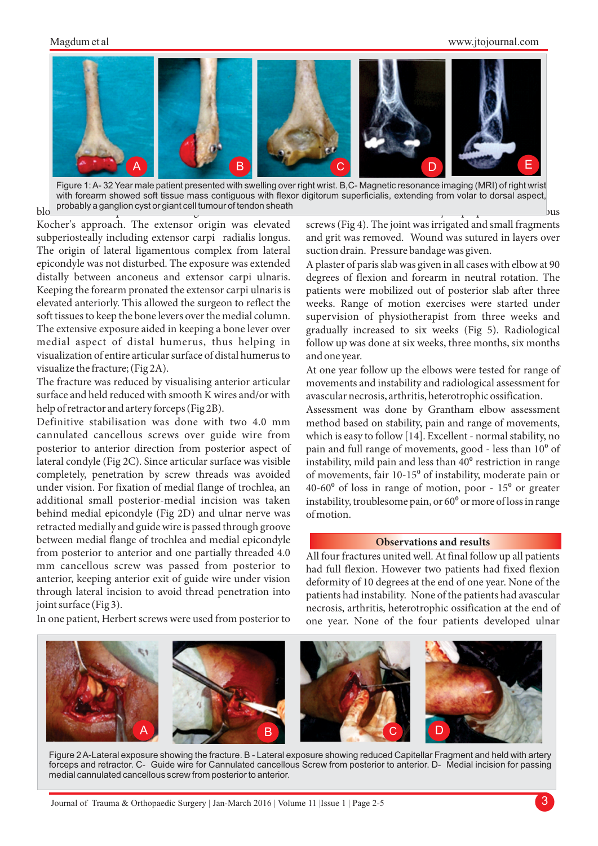## Magdum et al

#### www.jtojournal.com





Kocher's approach. The extensor origin was elevated subperiosteally including extensor carpi radialis longus. The origin of lateral ligamentous complex from lateral epicondyle was not disturbed. The exposure was extended distally between anconeus and extensor carpi ulnaris. Keeping the forearm pronated the extensor carpi ulnaris is elevated anteriorly. This allowed the surgeon to reflect the soft tissues to keep the bone levers over the medial column. The extensive exposure aided in keeping a bone lever over medial aspect of distal humerus, thus helping in visualization of entire articular surface of distal humerus to visualize the fracture; (Fig 2A).

The fracture was reduced by visualising anterior articular surface and held reduced with smooth K wires and/or with help of retractor and artery forceps (Fig 2B).

Definitive stabilisation was done with two 4.0 mm cannulated cancellous screws over guide wire from posterior to anterior direction from posterior aspect of lateral condyle (Fig 2C). Since articular surface was visible completely, penetration by screw threads was avoided under vision. For fixation of medial flange of trochlea, an additional small posterior-medial incision was taken behind medial epicondyle (Fig 2D) and ulnar nerve was retracted medially and guide wire is passed through groove between medial flange of trochlea and medial epicondyle from posterior to anterior and one partially threaded 4.0 mm cancellous screw was passed from posterior to anterior, keeping anterior exit of guide wire under vision through lateral incision to avoid thread penetration into joint surface (Fig 3).

In one patient, Herbert screws were used from posterior to

screws (Fig 4). The joint was irrigated and small fragments and grit was removed. Wound was sutured in layers over suction drain. Pressure bandage was given.

A plaster of paris slab was given in all cases with elbow at 90 degrees of flexion and forearm in neutral rotation. The patients were mobilized out of posterior slab after three weeks. Range of motion exercises were started under supervision of physiotherapist from three weeks and gradually increased to six weeks (Fig 5). Radiological follow up was done at six weeks, three months, six months and one year.

At one year follow up the elbows were tested for range of movements and instability and radiological assessment for avascular necrosis, arthritis, heterotrophic ossification.

Assessment was done by Grantham elbow assessment method based on stability, pain and range of movements, which is easy to follow [14]. Excellent - normal stability, no pain and full range of movements, good - less than 10<sup>o</sup> of instability, mild pain and less than  $40<sup>o</sup>$  restriction in range of movements, fair 10-15<sup>°</sup> of instability, moderate pain or  $40-60^{\circ}$  of loss in range of motion, poor -  $15^{\circ}$  or greater instability, troublesome pain, or  $60^{\circ}$  or more of loss in range of motion.

#### **Observations and results**

All four fractures united well. At final follow up all patients had full flexion. However two patients had fixed flexion deformity of 10 degrees at the end of one year. None of the patients had instability. None of the patients had avascular necrosis, arthritis, heterotrophic ossification at the end of one year. None of the four patients developed ulnar



Figure 2 A-Lateral exposure showing the fracture. B - Lateral exposure showing reduced Capitellar Fragment and held with artery forceps and retractor. C- Guide wire for Cannulated cancellous Screw from posterior to anterior. D- Medial incision for passing medial cannulated cancellous screw from posterior to anterior.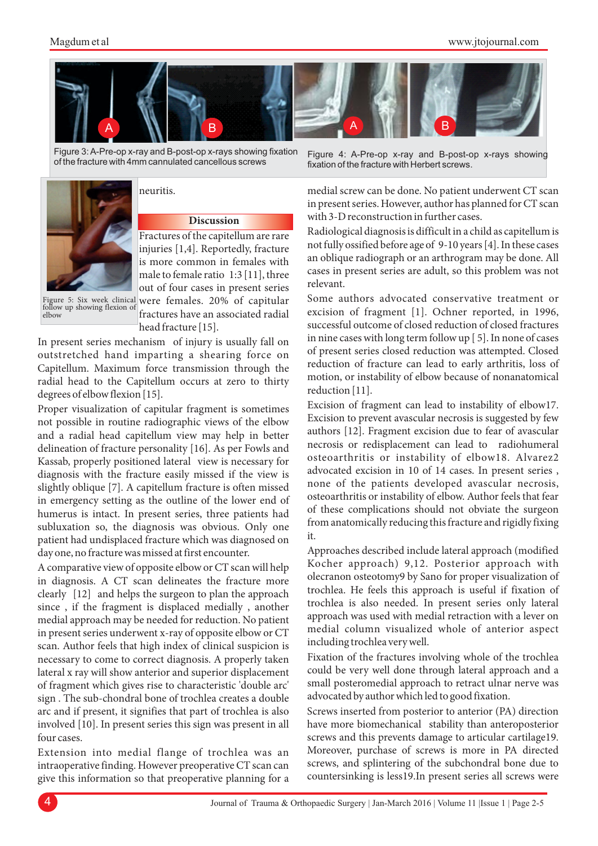

Figure 3: A-Pre-op x-ray and B-post-op x-rays showing fixation of the fracture with 4mm cannulated cancellous screws



## neuritis.

## **Discussion**

Fractures of the capitellum are rare injuries [1,4]. Reportedly, fracture is more common in females with male to female ratio 1:3 [11], three out of four cases in present series Figure 5: Six week clinical were females. 20% of capitular

follow up showing flexion of elbow

fractures have an associated radial head fracture [15].

In present series mechanism of injury is usually fall on outstretched hand imparting a shearing force on Capitellum. Maximum force transmission through the radial head to the Capitellum occurs at zero to thirty degrees of elbow flexion [15].

Proper visualization of capitular fragment is sometimes not possible in routine radiographic views of the elbow and a radial head capitellum view may help in better delineation of fracture personality [16]. As per Fowls and Kassab, properly positioned lateral view is necessary for diagnosis with the fracture easily missed if the view is slightly oblique [7]. A capitellum fracture is often missed in emergency setting as the outline of the lower end of humerus is intact. In present series, three patients had subluxation so, the diagnosis was obvious. Only one patient had undisplaced fracture which was diagnosed on day one, no fracture was missed at first encounter.

A comparative view of opposite elbow or CT scan will help in diagnosis. A CT scan delineates the fracture more clearly [12] and helps the surgeon to plan the approach since , if the fragment is displaced medially , another medial approach may be needed for reduction. No patient in present series underwent x-ray of opposite elbow or CT scan. Author feels that high index of clinical suspicion is necessary to come to correct diagnosis. A properly taken lateral x ray will show anterior and superior displacement of fragment which gives rise to characteristic 'double arc' sign . The sub-chondral bone of trochlea creates a double arc and if present, it signifies that part of trochlea is also involved [10]. In present series this sign was present in all four cases.

Extension into medial flange of trochlea was an intraoperative finding. However preoperative CT scan can give this information so that preoperative planning for a

Figure 4: A-Pre-op x-ray and B-post-op x-rays showing fixation of the fracture with Herbert screws.

medial screw can be done. No patient underwent CT scan in present series. However, author has planned for CT scan with 3-D reconstruction in further cases.

Radiological diagnosis is difficult in a child as capitellum is not fully ossified before age of 9-10 years [4]. In these cases an oblique radiograph or an arthrogram may be done. All cases in present series are adult, so this problem was not relevant.

Some authors advocated conservative treatment or excision of fragment [1]. Ochner reported, in 1996, successful outcome of closed reduction of closed fractures in nine cases with long term follow up [ 5]. In none of cases of present series closed reduction was attempted. Closed reduction of fracture can lead to early arthritis, loss of motion, or instability of elbow because of nonanatomical reduction [11].

Excision of fragment can lead to instability of elbow17. Excision to prevent avascular necrosis is suggested by few authors [12]. Fragment excision due to fear of avascular necrosis or redisplacement can lead to radiohumeral osteoarthritis or instability of elbow18. Alvarez2 advocated excision in 10 of 14 cases. In present series , none of the patients developed avascular necrosis, osteoarthritis or instability of elbow. Author feels that fear of these complications should not obviate the surgeon from anatomically reducing this fracture and rigidly fixing it.

Approaches described include lateral approach (modified Kocher approach) 9,12. Posterior approach with olecranon osteotomy9 by Sano for proper visualization of trochlea. He feels this approach is useful if fixation of trochlea is also needed. In present series only lateral approach was used with medial retraction with a lever on medial column visualized whole of anterior aspect including trochlea very well.

Fixation of the fractures involving whole of the trochlea could be very well done through lateral approach and a small posteromedial approach to retract ulnar nerve was advocated by author which led to good fixation.

Screws inserted from posterior to anterior (PA) direction have more biomechanical stability than anteroposterior screws and this prevents damage to articular cartilage19. Moreover, purchase of screws is more in PA directed screws, and splintering of the subchondral bone due to countersinking is less19.In present series all screws were

4